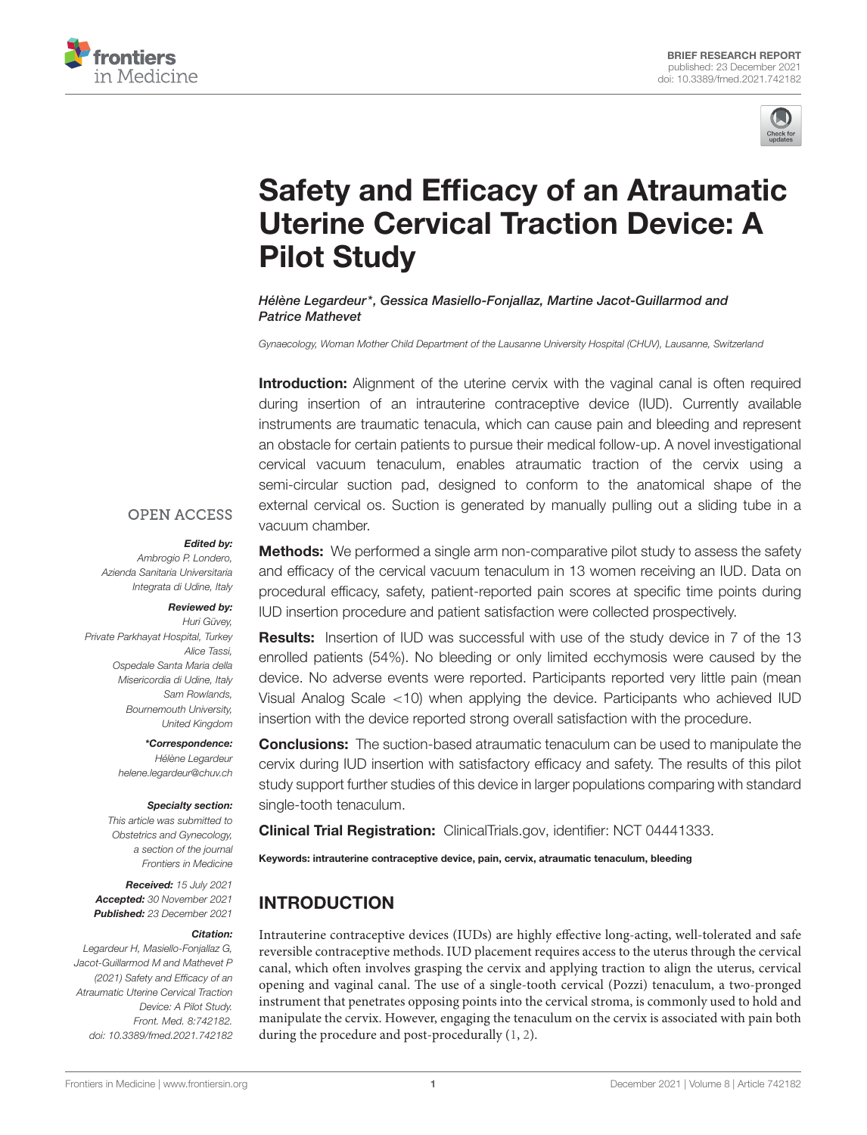



# [Safety and Efficacy of an Atraumatic](https://www.frontiersin.org/articles/10.3389/fmed.2021.742182/full) Uterine Cervical Traction Device: A Pilot Study

#### Hélène Legardeur\*, Gessica Masiello-Fonjallaz, Martine Jacot-Guillarmod and Patrice Mathevet

Gynaecology, Woman Mother Child Department of the Lausanne University Hospital (CHUV), Lausanne, Switzerland

Introduction: Alignment of the uterine cervix with the vaginal canal is often required during insertion of an intrauterine contraceptive device (IUD). Currently available instruments are traumatic tenacula, which can cause pain and bleeding and represent an obstacle for certain patients to pursue their medical follow-up. A novel investigational cervical vacuum tenaculum, enables atraumatic traction of the cervix using a semi-circular suction pad, designed to conform to the anatomical shape of the external cervical os. Suction is generated by manually pulling out a sliding tube in a vacuum chamber.

#### **OPEN ACCESS**

#### Edited by:

Ambrogio P. Londero, Azienda Sanitaria Universitaria Integrata di Udine, Italy

#### Reviewed by: Huri Güvey,

Private Parkhayat Hospital, Turkey Alice Tassi, Ospedale Santa Maria della Misericordia di Udine, Italy Sam Rowlands, Bournemouth University, United Kingdom

#### \*Correspondence:

Hélène Legardeur [helene.legardeur@chuv.ch](mailto:helene.legardeur@chuv.ch)

#### Specialty section:

This article was submitted to Obstetrics and Gynecology, a section of the journal Frontiers in Medicine

Received: 15 July 2021 Accepted: 30 November 2021 Published: 23 December 2021

#### Citation:

Legardeur H, Masiello-Fonjallaz G, Jacot-Guillarmod M and Mathevet P (2021) Safety and Efficacy of an Atraumatic Uterine Cervical Traction Device: A Pilot Study. Front. Med. 8:742182. doi: [10.3389/fmed.2021.742182](https://doi.org/10.3389/fmed.2021.742182)

**Methods:** We performed a single arm non-comparative pilot study to assess the safety and efficacy of the cervical vacuum tenaculum in 13 women receiving an IUD. Data on procedural efficacy, safety, patient-reported pain scores at specific time points during IUD insertion procedure and patient satisfaction were collected prospectively.

Results: Insertion of IUD was successful with use of the study device in 7 of the 13 enrolled patients (54%). No bleeding or only limited ecchymosis were caused by the device. No adverse events were reported. Participants reported very little pain (mean Visual Analog Scale <10) when applying the device. Participants who achieved IUD insertion with the device reported strong overall satisfaction with the procedure.

**Conclusions:** The suction-based atraumatic tenaculum can be used to manipulate the cervix during IUD insertion with satisfactory efficacy and safety. The results of this pilot study support further studies of this device in larger populations comparing with standard single-tooth tenaculum.

Clinical Trial Registration: [ClinicalTrials.gov,](https://clinicaltrials.gov/) identifier: NCT 04441333.

Keywords: intrauterine contraceptive device, pain, cervix, atraumatic tenaculum, bleeding

# INTRODUCTION

Intrauterine contraceptive devices (IUDs) are highly effective long-acting, well-tolerated and safe reversible contraceptive methods. IUD placement requires access to the uterus through the cervical canal, which often involves grasping the cervix and applying traction to align the uterus, cervical opening and vaginal canal. The use of a single-tooth cervical (Pozzi) tenaculum, a two-pronged instrument that penetrates opposing points into the cervical stroma, is commonly used to hold and manipulate the cervix. However, engaging the tenaculum on the cervix is associated with pain both during the procedure and post-procedurally [\(1,](#page-5-0) [2\)](#page-5-1).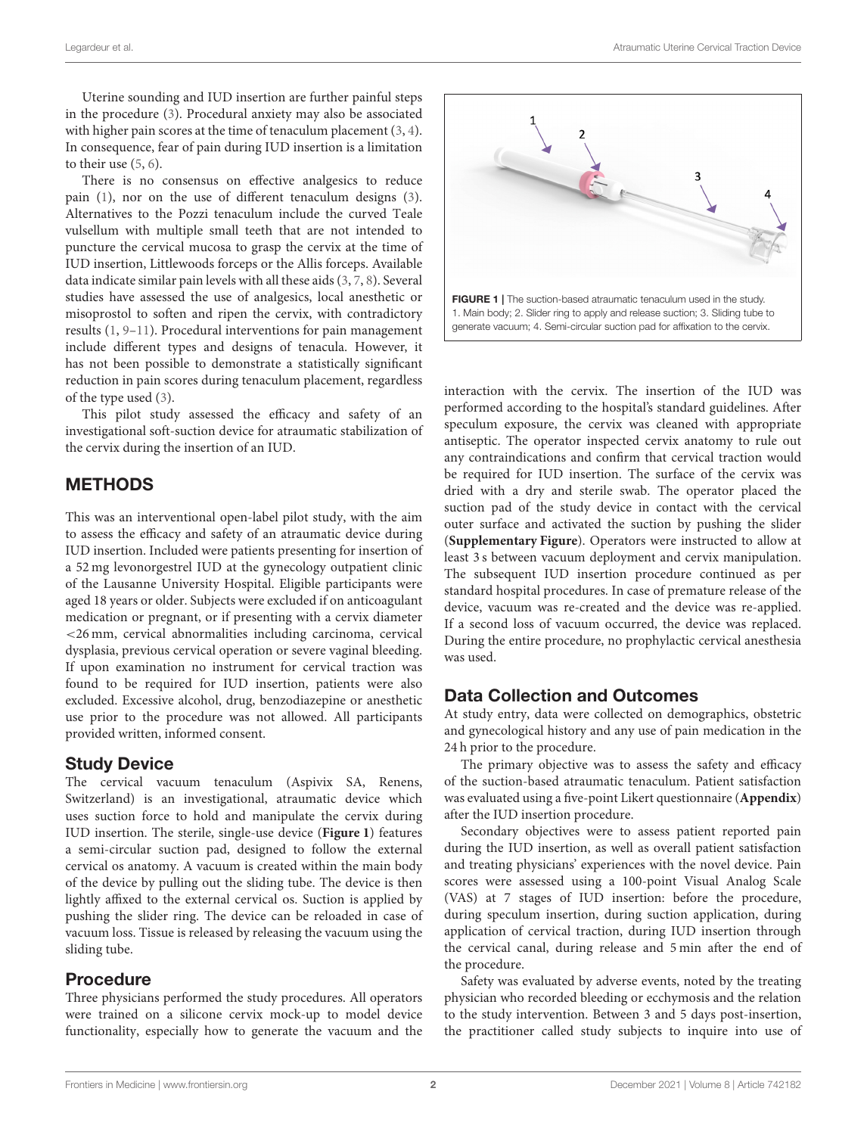Uterine sounding and IUD insertion are further painful steps in the procedure [\(3\)](#page-5-2). Procedural anxiety may also be associated with higher pain scores at the time of tenaculum placement [\(3,](#page-5-2) [4\)](#page-5-3). In consequence, fear of pain during IUD insertion is a limitation to their use [\(5,](#page-5-4) [6\)](#page-5-5).

There is no consensus on effective analgesics to reduce pain [\(1\)](#page-5-0), nor on the use of different tenaculum designs [\(3\)](#page-5-2). Alternatives to the Pozzi tenaculum include the curved Teale vulsellum with multiple small teeth that are not intended to puncture the cervical mucosa to grasp the cervix at the time of IUD insertion, Littlewoods forceps or the Allis forceps. Available data indicate similar pain levels with all these aids [\(3,](#page-5-2) [7,](#page-5-6) [8\)](#page-5-7). Several studies have assessed the use of analgesics, local anesthetic or misoprostol to soften and ripen the cervix, with contradictory results [\(1,](#page-5-0) [9–](#page-5-8)[11\)](#page-5-9). Procedural interventions for pain management include different types and designs of tenacula. However, it has not been possible to demonstrate a statistically significant reduction in pain scores during tenaculum placement, regardless of the type used [\(3\)](#page-5-2).

This pilot study assessed the efficacy and safety of an investigational soft-suction device for atraumatic stabilization of the cervix during the insertion of an IUD.

### METHODS

This was an interventional open-label pilot study, with the aim to assess the efficacy and safety of an atraumatic device during IUD insertion. Included were patients presenting for insertion of a 52 mg levonorgestrel IUD at the gynecology outpatient clinic of the Lausanne University Hospital. Eligible participants were aged 18 years or older. Subjects were excluded if on anticoagulant medication or pregnant, or if presenting with a cervix diameter <26 mm, cervical abnormalities including carcinoma, cervical dysplasia, previous cervical operation or severe vaginal bleeding. If upon examination no instrument for cervical traction was found to be required for IUD insertion, patients were also excluded. Excessive alcohol, drug, benzodiazepine or anesthetic use prior to the procedure was not allowed. All participants provided written, informed consent.

### Study Device

The cervical vacuum tenaculum (Aspivix SA, Renens, Switzerland) is an investigational, atraumatic device which uses suction force to hold and manipulate the cervix during IUD insertion. The sterile, single-use device (**[Figure 1](#page-1-0)**) features a semi-circular suction pad, designed to follow the external cervical os anatomy. A vacuum is created within the main body of the device by pulling out the sliding tube. The device is then lightly affixed to the external cervical os. Suction is applied by pushing the slider ring. The device can be reloaded in case of vacuum loss. Tissue is released by releasing the vacuum using the sliding tube.

### Procedure

Three physicians performed the study procedures. All operators were trained on a silicone cervix mock-up to model device functionality, especially how to generate the vacuum and the



<span id="page-1-0"></span>interaction with the cervix. The insertion of the IUD was performed according to the hospital's standard guidelines. After speculum exposure, the cervix was cleaned with appropriate antiseptic. The operator inspected cervix anatomy to rule out any contraindications and confirm that cervical traction would be required for IUD insertion. The surface of the cervix was dried with a dry and sterile swab. The operator placed the suction pad of the study device in contact with the cervical outer surface and activated the suction by pushing the slider (**[Supplementary Figure](#page-4-0)**). Operators were instructed to allow at least 3 s between vacuum deployment and cervix manipulation. The subsequent IUD insertion procedure continued as per standard hospital procedures. In case of premature release of the device, vacuum was re-created and the device was re-applied. If a second loss of vacuum occurred, the device was replaced. During the entire procedure, no prophylactic cervical anesthesia was used.

# Data Collection and Outcomes

At study entry, data were collected on demographics, obstetric and gynecological history and any use of pain medication in the 24 h prior to the procedure.

The primary objective was to assess the safety and efficacy of the suction-based atraumatic tenaculum. Patient satisfaction was evaluated using a five-point Likert questionnaire (**[Appendix](#page-4-0)**) after the IUD insertion procedure.

Secondary objectives were to assess patient reported pain during the IUD insertion, as well as overall patient satisfaction and treating physicians' experiences with the novel device. Pain scores were assessed using a 100-point Visual Analog Scale (VAS) at 7 stages of IUD insertion: before the procedure, during speculum insertion, during suction application, during application of cervical traction, during IUD insertion through the cervical canal, during release and 5 min after the end of the procedure.

Safety was evaluated by adverse events, noted by the treating physician who recorded bleeding or ecchymosis and the relation to the study intervention. Between 3 and 5 days post-insertion, the practitioner called study subjects to inquire into use of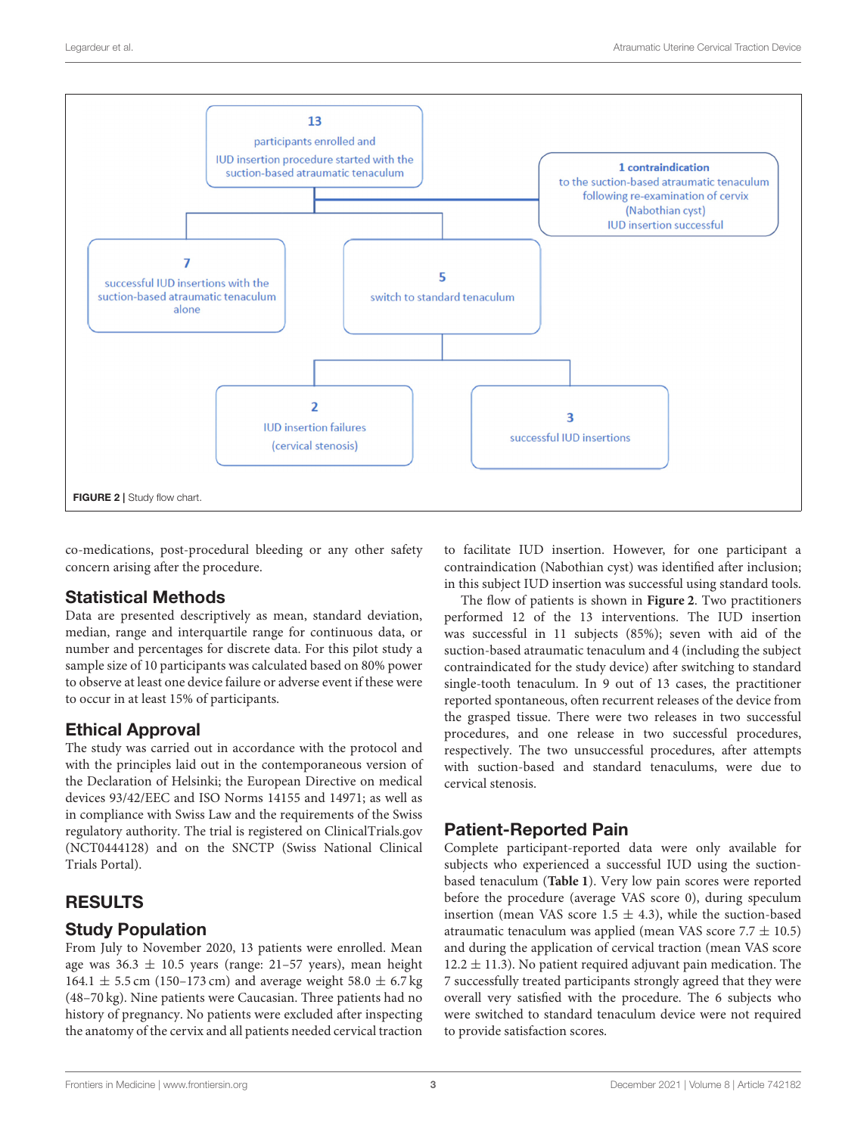

<span id="page-2-0"></span>co-medications, post-procedural bleeding or any other safety concern arising after the procedure.

# Statistical Methods

Data are presented descriptively as mean, standard deviation, median, range and interquartile range for continuous data, or number and percentages for discrete data. For this pilot study a sample size of 10 participants was calculated based on 80% power to observe at least one device failure or adverse event if these were to occur in at least 15% of participants.

# Ethical Approval

The study was carried out in accordance with the protocol and with the principles laid out in the contemporaneous version of the Declaration of Helsinki; the European Directive on medical devices 93/42/EEC and ISO Norms 14155 and 14971; as well as in compliance with Swiss Law and the requirements of the Swiss regulatory authority. The trial is registered on ClinicalTrials.gov (NCT0444128) and on the SNCTP (Swiss National Clinical Trials Portal).

# RESULTS

### Study Population

From July to November 2020, 13 patients were enrolled. Mean age was  $36.3 \pm 10.5$  years (range: 21-57 years), mean height 164.1  $\pm$  5.5 cm (150–173 cm) and average weight 58.0  $\pm$  6.7 kg (48–70 kg). Nine patients were Caucasian. Three patients had no history of pregnancy. No patients were excluded after inspecting the anatomy of the cervix and all patients needed cervical traction

to facilitate IUD insertion. However, for one participant a contraindication (Nabothian cyst) was identified after inclusion; in this subject IUD insertion was successful using standard tools.

The flow of patients is shown in **[Figure 2](#page-2-0)**. Two practitioners performed 12 of the 13 interventions. The IUD insertion was successful in 11 subjects (85%); seven with aid of the suction-based atraumatic tenaculum and 4 (including the subject contraindicated for the study device) after switching to standard single-tooth tenaculum. In 9 out of 13 cases, the practitioner reported spontaneous, often recurrent releases of the device from the grasped tissue. There were two releases in two successful procedures, and one release in two successful procedures, respectively. The two unsuccessful procedures, after attempts with suction-based and standard tenaculums, were due to cervical stenosis.

# Patient-Reported Pain

Complete participant-reported data were only available for subjects who experienced a successful IUD using the suctionbased tenaculum (**[Table 1](#page-3-0)**). Very low pain scores were reported before the procedure (average VAS score 0), during speculum insertion (mean VAS score  $1.5 \pm 4.3$ ), while the suction-based atraumatic tenaculum was applied (mean VAS score  $7.7 \pm 10.5$ ) and during the application of cervical traction (mean VAS score  $12.2 \pm 11.3$ ). No patient required adjuvant pain medication. The 7 successfully treated participants strongly agreed that they were overall very satisfied with the procedure. The 6 subjects who were switched to standard tenaculum device were not required to provide satisfaction scores.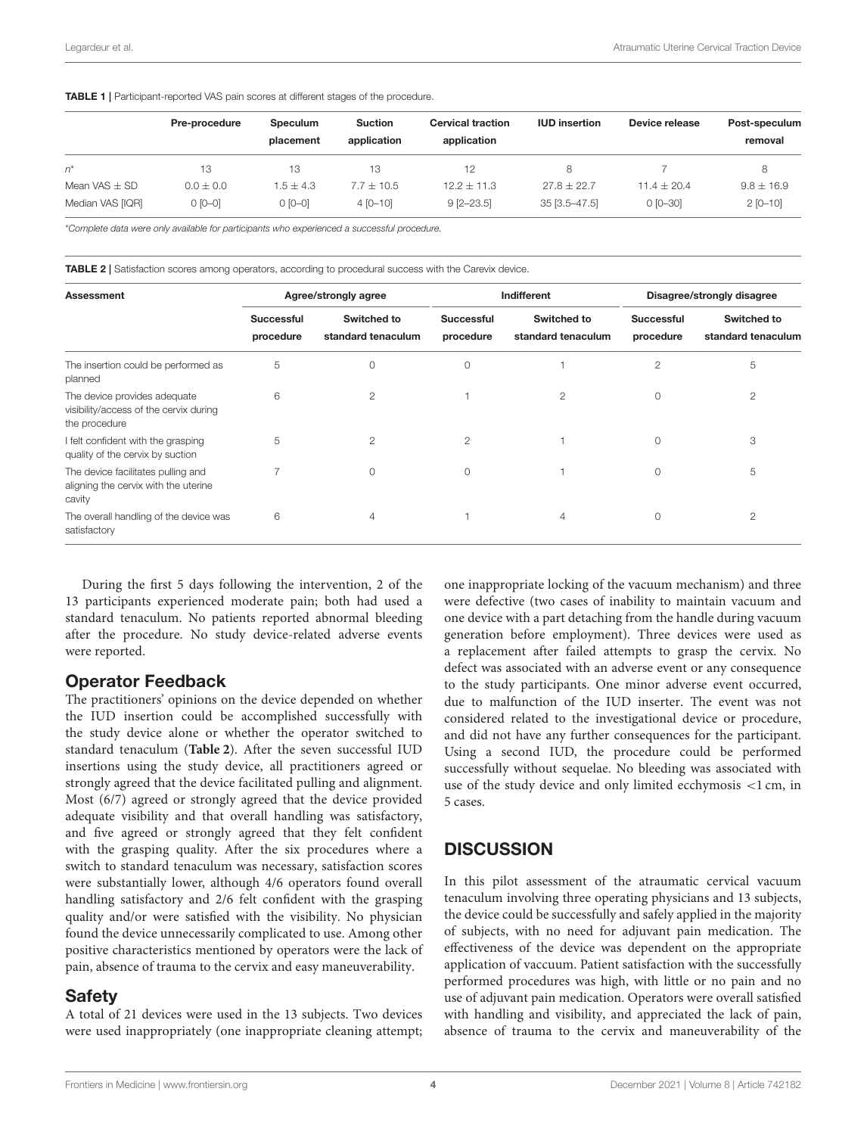<span id="page-3-0"></span>

|  |  |  |  |  | <b>TABLE 1</b>   Participant-reported VAS pain scores at different stages of the procedure. |
|--|--|--|--|--|---------------------------------------------------------------------------------------------|
|--|--|--|--|--|---------------------------------------------------------------------------------------------|

|                   | Pre-procedure | <b>Speculum</b><br>placement | <b>Suction</b><br>application | <b>Cervical traction</b><br>application | <b>IUD</b> insertion | Device release  | Post-speculum<br>removal |
|-------------------|---------------|------------------------------|-------------------------------|-----------------------------------------|----------------------|-----------------|--------------------------|
| n*                | 13            | 13                           | 13.                           | 12                                      | 8                    |                 | 8.                       |
| Mean VAS $\pm$ SD | $0.0 \pm 0.0$ | $1.5 + 4.3$                  | $7.7 + 10.5$                  | $12.2 + 11.3$                           | $27.8 + 22.7$        | $11.4 \pm 20.4$ | $9.8 \pm 16.9$           |
| Median VAS [IQR]  | $0$ [0-0]     | $[0 - 0]$                    | $4[0 - 10]$                   | $9$ [2-23.5]                            | 35 [3.5-47.5]        | $0$ [0-30]      | $2$ [0-10]               |

\*Complete data were only available for participants who experienced a successful procedure.

<span id="page-3-1"></span>**TABLE 2** I Satisfaction scores among operators, according to procedural success with the Carevix device.

| Assessment                                                                              |                                | Agree/strongly agree              | Indifferent                    |                                   | Disagree/strongly disagree     |                                   |
|-----------------------------------------------------------------------------------------|--------------------------------|-----------------------------------|--------------------------------|-----------------------------------|--------------------------------|-----------------------------------|
|                                                                                         | <b>Successful</b><br>procedure | Switched to<br>standard tenaculum | <b>Successful</b><br>procedure | Switched to<br>standard tenaculum | <b>Successful</b><br>procedure | Switched to<br>standard tenaculum |
| The insertion could be performed as<br>planned                                          | 5                              | 0                                 | $\circ$                        |                                   | 2                              | 5                                 |
| The device provides adequate<br>visibility/access of the cervix during<br>the procedure | 6                              | $\mathfrak{D}$                    |                                | 2                                 | 0                              | $\overline{2}$                    |
| felt confident with the grasping<br>quality of the cervix by suction                    | 5                              | 2                                 | $\overline{2}$                 |                                   | 0                              | 3                                 |
| The device facilitates pulling and<br>aligning the cervix with the uterine<br>cavity    | 7                              | $\Omega$                          | $\Omega$                       |                                   | 0                              | 5                                 |
| The overall handling of the device was<br>satisfactory                                  | 6                              | 4                                 |                                | 4                                 | 0                              | $\overline{2}$                    |

During the first 5 days following the intervention, 2 of the 13 participants experienced moderate pain; both had used a standard tenaculum. No patients reported abnormal bleeding after the procedure. No study device-related adverse events were reported.

### Operator Feedback

The practitioners' opinions on the device depended on whether the IUD insertion could be accomplished successfully with the study device alone or whether the operator switched to standard tenaculum (**[Table 2](#page-3-1)**). After the seven successful IUD insertions using the study device, all practitioners agreed or strongly agreed that the device facilitated pulling and alignment. Most (6/7) agreed or strongly agreed that the device provided adequate visibility and that overall handling was satisfactory, and five agreed or strongly agreed that they felt confident with the grasping quality. After the six procedures where a switch to standard tenaculum was necessary, satisfaction scores were substantially lower, although 4/6 operators found overall handling satisfactory and 2/6 felt confident with the grasping quality and/or were satisfied with the visibility. No physician found the device unnecessarily complicated to use. Among other positive characteristics mentioned by operators were the lack of pain, absence of trauma to the cervix and easy maneuverability.

### Safety

A total of 21 devices were used in the 13 subjects. Two devices were used inappropriately (one inappropriate cleaning attempt; one inappropriate locking of the vacuum mechanism) and three were defective (two cases of inability to maintain vacuum and one device with a part detaching from the handle during vacuum generation before employment). Three devices were used as a replacement after failed attempts to grasp the cervix. No defect was associated with an adverse event or any consequence to the study participants. One minor adverse event occurred, due to malfunction of the IUD inserter. The event was not considered related to the investigational device or procedure, and did not have any further consequences for the participant. Using a second IUD, the procedure could be performed successfully without sequelae. No bleeding was associated with use of the study device and only limited ecchymosis <1 cm, in 5 cases.

# **DISCUSSION**

In this pilot assessment of the atraumatic cervical vacuum tenaculum involving three operating physicians and 13 subjects, the device could be successfully and safely applied in the majority of subjects, with no need for adjuvant pain medication. The effectiveness of the device was dependent on the appropriate application of vaccuum. Patient satisfaction with the successfully performed procedures was high, with little or no pain and no use of adjuvant pain medication. Operators were overall satisfied with handling and visibility, and appreciated the lack of pain, absence of trauma to the cervix and maneuverability of the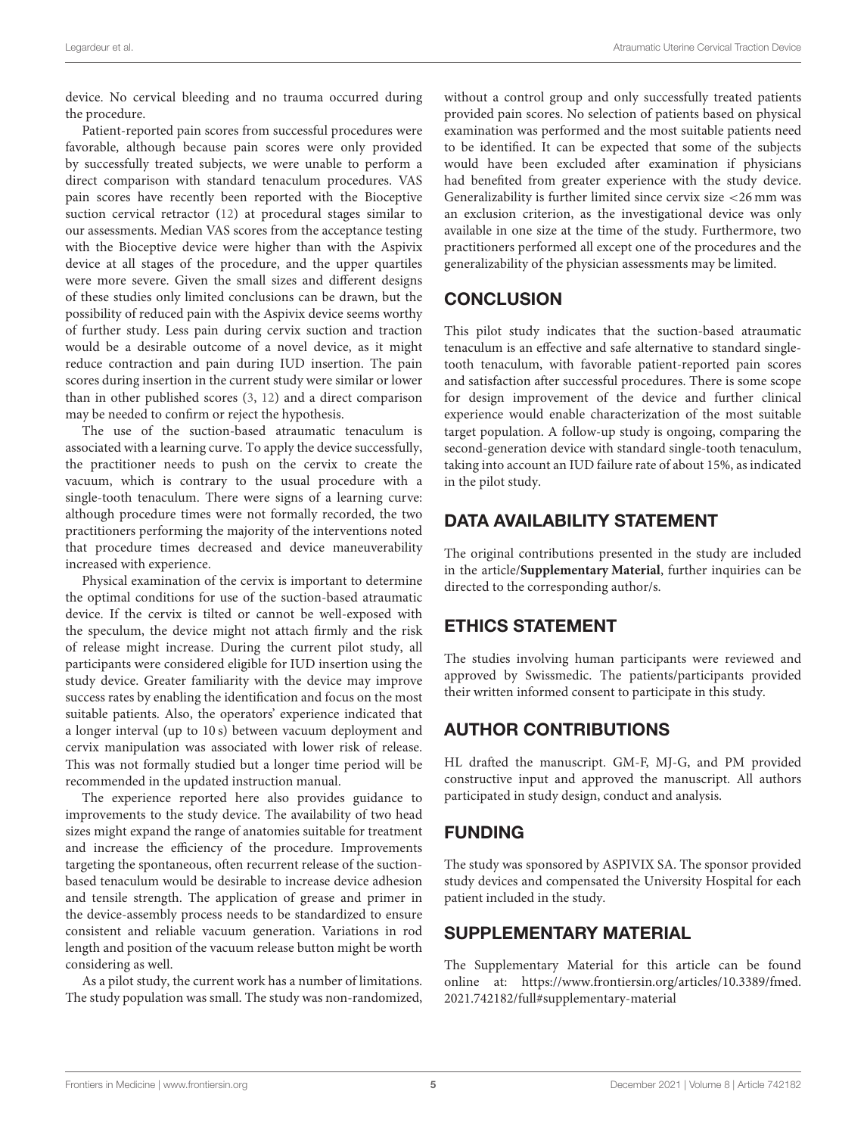device. No cervical bleeding and no trauma occurred during the procedure.

Patient-reported pain scores from successful procedures were favorable, although because pain scores were only provided by successfully treated subjects, we were unable to perform a direct comparison with standard tenaculum procedures. VAS pain scores have recently been reported with the Bioceptive suction cervical retractor [\(12\)](#page-5-10) at procedural stages similar to our assessments. Median VAS scores from the acceptance testing with the Bioceptive device were higher than with the Aspivix device at all stages of the procedure, and the upper quartiles were more severe. Given the small sizes and different designs of these studies only limited conclusions can be drawn, but the possibility of reduced pain with the Aspivix device seems worthy of further study. Less pain during cervix suction and traction would be a desirable outcome of a novel device, as it might reduce contraction and pain during IUD insertion. The pain scores during insertion in the current study were similar or lower than in other published scores [\(3,](#page-5-2) [12\)](#page-5-10) and a direct comparison may be needed to confirm or reject the hypothesis.

The use of the suction-based atraumatic tenaculum is associated with a learning curve. To apply the device successfully, the practitioner needs to push on the cervix to create the vacuum, which is contrary to the usual procedure with a single-tooth tenaculum. There were signs of a learning curve: although procedure times were not formally recorded, the two practitioners performing the majority of the interventions noted that procedure times decreased and device maneuverability increased with experience.

Physical examination of the cervix is important to determine the optimal conditions for use of the suction-based atraumatic device. If the cervix is tilted or cannot be well-exposed with the speculum, the device might not attach firmly and the risk of release might increase. During the current pilot study, all participants were considered eligible for IUD insertion using the study device. Greater familiarity with the device may improve success rates by enabling the identification and focus on the most suitable patients. Also, the operators' experience indicated that a longer interval (up to 10 s) between vacuum deployment and cervix manipulation was associated with lower risk of release. This was not formally studied but a longer time period will be recommended in the updated instruction manual.

The experience reported here also provides guidance to improvements to the study device. The availability of two head sizes might expand the range of anatomies suitable for treatment and increase the efficiency of the procedure. Improvements targeting the spontaneous, often recurrent release of the suctionbased tenaculum would be desirable to increase device adhesion and tensile strength. The application of grease and primer in the device-assembly process needs to be standardized to ensure consistent and reliable vacuum generation. Variations in rod length and position of the vacuum release button might be worth considering as well.

As a pilot study, the current work has a number of limitations. The study population was small. The study was non-randomized, without a control group and only successfully treated patients provided pain scores. No selection of patients based on physical examination was performed and the most suitable patients need to be identified. It can be expected that some of the subjects would have been excluded after examination if physicians had benefited from greater experience with the study device. Generalizability is further limited since cervix size <26 mm was an exclusion criterion, as the investigational device was only available in one size at the time of the study. Furthermore, two practitioners performed all except one of the procedures and the generalizability of the physician assessments may be limited.

# **CONCLUSION**

This pilot study indicates that the suction-based atraumatic tenaculum is an effective and safe alternative to standard singletooth tenaculum, with favorable patient-reported pain scores and satisfaction after successful procedures. There is some scope for design improvement of the device and further clinical experience would enable characterization of the most suitable target population. A follow-up study is ongoing, comparing the second-generation device with standard single-tooth tenaculum, taking into account an IUD failure rate of about 15%, as indicated in the pilot study.

# DATA AVAILABILITY STATEMENT

The original contributions presented in the study are included in the article/**[Supplementary Material](#page-4-0)**, further inquiries can be directed to the corresponding author/s.

# ETHICS STATEMENT

The studies involving human participants were reviewed and approved by Swissmedic. The patients/participants provided their written informed consent to participate in this study.

# AUTHOR CONTRIBUTIONS

HL drafted the manuscript. GM-F, MJ-G, and PM provided constructive input and approved the manuscript. All authors participated in study design, conduct and analysis.

# FUNDING

The study was sponsored by ASPIVIX SA. The sponsor provided study devices and compensated the University Hospital for each patient included in the study.

# SUPPLEMENTARY MATERIAL

<span id="page-4-0"></span>The Supplementary Material for this article can be found [online at: https://www.frontiersin.org/articles/10.3389/fmed.](https://www.frontiersin.org/articles/10.3389/fmed.2021.742182/full#supplementary-material) 2021.742182/full#supplementary-material